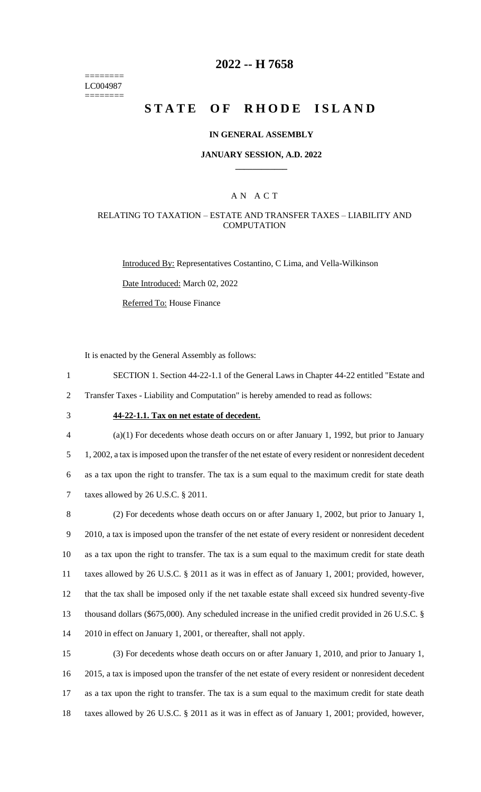======== LC004987 ========

### **2022 -- H 7658**

# **STATE OF RHODE ISLAND**

#### **IN GENERAL ASSEMBLY**

#### **JANUARY SESSION, A.D. 2022 \_\_\_\_\_\_\_\_\_\_\_\_**

### A N A C T

### RELATING TO TAXATION – ESTATE AND TRANSFER TAXES – LIABILITY AND **COMPUTATION**

Introduced By: Representatives Costantino, C Lima, and Vella-Wilkinson

Date Introduced: March 02, 2022

Referred To: House Finance

It is enacted by the General Assembly as follows:

- 1 SECTION 1. Section 44-22-1.1 of the General Laws in Chapter 44-22 entitled "Estate and
- 2 Transfer Taxes Liability and Computation" is hereby amended to read as follows:
- 

# 3 **44-22-1.1. Tax on net estate of decedent.**

 (a)(1) For decedents whose death occurs on or after January 1, 1992, but prior to January 1, 2002, a tax is imposed upon the transfer of the net estate of every resident or nonresident decedent as a tax upon the right to transfer. The tax is a sum equal to the maximum credit for state death taxes allowed by 26 U.S.C. § 2011.

 (2) For decedents whose death occurs on or after January 1, 2002, but prior to January 1, 2010, a tax is imposed upon the transfer of the net estate of every resident or nonresident decedent as a tax upon the right to transfer. The tax is a sum equal to the maximum credit for state death taxes allowed by 26 U.S.C. § 2011 as it was in effect as of January 1, 2001; provided, however, that the tax shall be imposed only if the net taxable estate shall exceed six hundred seventy-five thousand dollars (\$675,000). Any scheduled increase in the unified credit provided in 26 U.S.C. § 2010 in effect on January 1, 2001, or thereafter, shall not apply.

 (3) For decedents whose death occurs on or after January 1, 2010, and prior to January 1, 2015, a tax is imposed upon the transfer of the net estate of every resident or nonresident decedent as a tax upon the right to transfer. The tax is a sum equal to the maximum credit for state death taxes allowed by 26 U.S.C. § 2011 as it was in effect as of January 1, 2001; provided, however,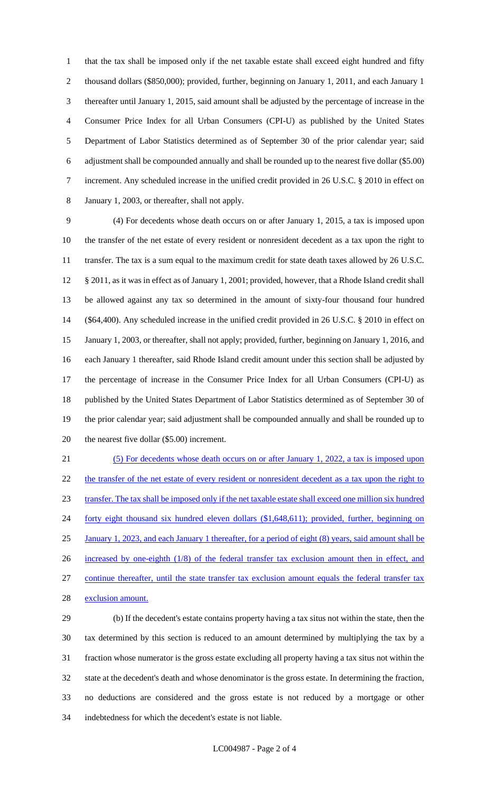that the tax shall be imposed only if the net taxable estate shall exceed eight hundred and fifty thousand dollars (\$850,000); provided, further, beginning on January 1, 2011, and each January 1 thereafter until January 1, 2015, said amount shall be adjusted by the percentage of increase in the Consumer Price Index for all Urban Consumers (CPI-U) as published by the United States Department of Labor Statistics determined as of September 30 of the prior calendar year; said adjustment shall be compounded annually and shall be rounded up to the nearest five dollar (\$5.00) increment. Any scheduled increase in the unified credit provided in 26 U.S.C. § 2010 in effect on January 1, 2003, or thereafter, shall not apply.

 (4) For decedents whose death occurs on or after January 1, 2015, a tax is imposed upon the transfer of the net estate of every resident or nonresident decedent as a tax upon the right to 11 transfer. The tax is a sum equal to the maximum credit for state death taxes allowed by 26 U.S.C. § 2011, as it was in effect as of January 1, 2001; provided, however, that a Rhode Island credit shall be allowed against any tax so determined in the amount of sixty-four thousand four hundred (\$64,400). Any scheduled increase in the unified credit provided in 26 U.S.C. § 2010 in effect on January 1, 2003, or thereafter, shall not apply; provided, further, beginning on January 1, 2016, and each January 1 thereafter, said Rhode Island credit amount under this section shall be adjusted by the percentage of increase in the Consumer Price Index for all Urban Consumers (CPI-U) as published by the United States Department of Labor Statistics determined as of September 30 of the prior calendar year; said adjustment shall be compounded annually and shall be rounded up to 20 the nearest five dollar (\$5.00) increment.

 (5) For decedents whose death occurs on or after January 1, 2022, a tax is imposed upon 22 the transfer of the net estate of every resident or nonresident decedent as a tax upon the right to transfer. The tax shall be imposed only if the net taxable estate shall exceed one million six hundred 24 forty eight thousand six hundred eleven dollars (\$1,648,611); provided, further, beginning on January 1, 2023, and each January 1 thereafter, for a period of eight (8) years, said amount shall be 26 increased by one-eighth (1/8) of the federal transfer tax exclusion amount then in effect, and continue thereafter, until the state transfer tax exclusion amount equals the federal transfer tax exclusion amount.

 (b) If the decedent's estate contains property having a tax situs not within the state, then the tax determined by this section is reduced to an amount determined by multiplying the tax by a fraction whose numerator is the gross estate excluding all property having a tax situs not within the state at the decedent's death and whose denominator is the gross estate. In determining the fraction, no deductions are considered and the gross estate is not reduced by a mortgage or other indebtedness for which the decedent's estate is not liable.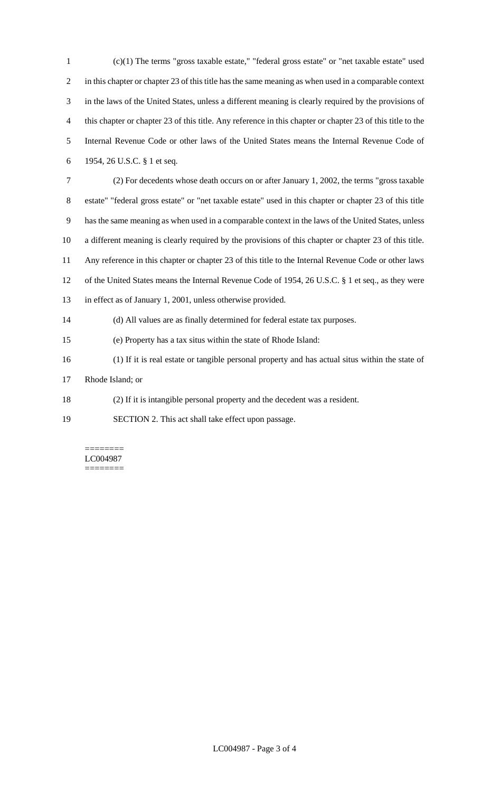(c)(1) The terms "gross taxable estate," "federal gross estate" or "net taxable estate" used in this chapter or chapter 23 of this title has the same meaning as when used in a comparable context in the laws of the United States, unless a different meaning is clearly required by the provisions of this chapter or chapter 23 of this title. Any reference in this chapter or chapter 23 of this title to the Internal Revenue Code or other laws of the United States means the Internal Revenue Code of 1954, 26 U.S.C. § 1 et seq. (2) For decedents whose death occurs on or after January 1, 2002, the terms "gross taxable estate" "federal gross estate" or "net taxable estate" used in this chapter or chapter 23 of this title has the same meaning as when used in a comparable context in the laws of the United States, unless a different meaning is clearly required by the provisions of this chapter or chapter 23 of this title.

Any reference in this chapter or chapter 23 of this title to the Internal Revenue Code or other laws

- of the United States means the Internal Revenue Code of 1954, 26 U.S.C. § 1 et seq., as they were
- in effect as of January 1, 2001, unless otherwise provided.

(d) All values are as finally determined for federal estate tax purposes.

- (e) Property has a tax situs within the state of Rhode Island:
- (1) If it is real estate or tangible personal property and has actual situs within the state of
- Rhode Island; or
- (2) If it is intangible personal property and the decedent was a resident.
- SECTION 2. This act shall take effect upon passage.

======== LC004987 ========